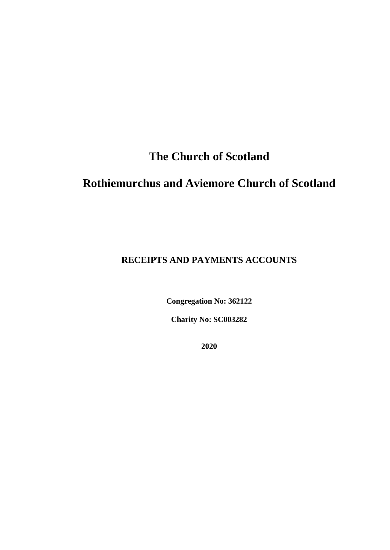# **The Church of Scotland**

# **Rothiemurchus and Aviemore Church of Scotland**

### **RECEIPTS AND PAYMENTS ACCOUNTS**

**Congregation No: 362122**

**Charity No: SC003282**

**2020**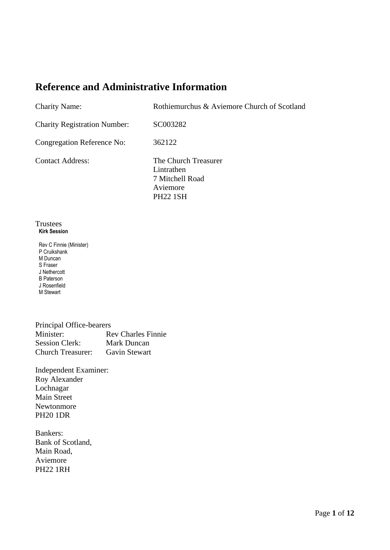### **Reference and Administrative Information**

| <b>Charity Name:</b>                | Rothiemurchus & Aviemore Church of Scotland                                          |
|-------------------------------------|--------------------------------------------------------------------------------------|
| <b>Charity Registration Number:</b> | SC003282                                                                             |
| Congregation Reference No:          | 362122                                                                               |
| <b>Contact Address:</b>             | The Church Treasurer<br>Lintrathen<br>7 Mitchell Road<br>Aviemore<br><b>PH22 1SH</b> |

#### Trustees **Kirk Session**

Rev C Finnie (Minister) P Cruikshank M Duncan S Fraser J Nethercott B Paterson J Rosenfield M Stewart

| Principal Office-bearers |                           |
|--------------------------|---------------------------|
| Minister:                | <b>Rev Charles Finnie</b> |
| <b>Session Clerk:</b>    | Mark Duncan               |
| <b>Church Treasurer:</b> | Gavin Stewart             |

Independent Examiner: Roy Alexander Lochnagar Main Street Newtonmore PH20 1DR

Bankers: Bank of Scotland, Main Road, Aviemore PH22 1RH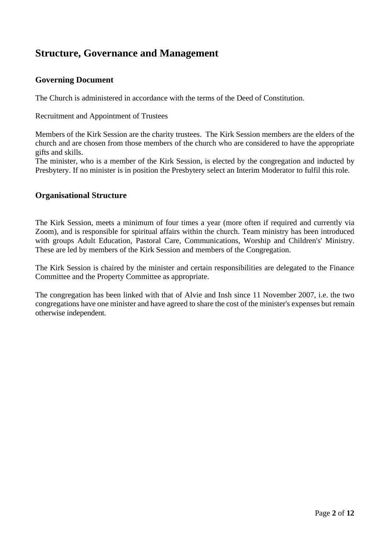### **Structure, Governance and Management**

### **Governing Document**

The Church is administered in accordance with the terms of the Deed of Constitution.

Recruitment and Appointment of Trustees

Members of the Kirk Session are the charity trustees. The Kirk Session members are the elders of the church and are chosen from those members of the church who are considered to have the appropriate gifts and skills.

The minister, who is a member of the Kirk Session, is elected by the congregation and inducted by Presbytery. If no minister is in position the Presbytery select an Interim Moderator to fulfil this role.

### **Organisational Structure**

The Kirk Session, meets a minimum of four times a year (more often if required and currently via Zoom), and is responsible for spiritual affairs within the church. Team ministry has been introduced with groups Adult Education, Pastoral Care, Communications, Worship and Children's' Ministry. These are led by members of the Kirk Session and members of the Congregation.

The Kirk Session is chaired by the minister and certain responsibilities are delegated to the Finance Committee and the Property Committee as appropriate.

The congregation has been linked with that of Alvie and Insh since 11 November 2007, i.e. the two congregations have one minister and have agreed to share the cost of the minister's expenses but remain otherwise independent.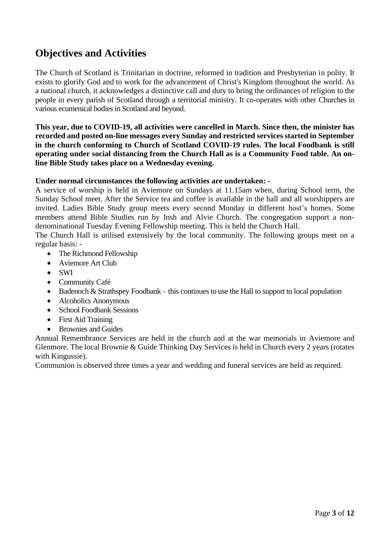## **Objectives and Activities**

The Church of Scotland is Trinitarian in doctrine, reformed in tradition and Presbyterian in polity. It exists to glorify God and to work for the advancement of Christ's Kingdom throughout the world. As a national church, it acknowledges a distinctive call and duty to bring the ordinances of religion to the people in every parish of Scotland through a territorial ministry. It co-operates with other Churches in various ecumenical bodies in Scotland and beyond.

**This year, due to COVID-19, all activities were cancelled in March. Since then, the minister has recorded and posted on-line messages every Sunday and restricted services started in September in the church conforming to Church of Scotland COVID-19 rules. The local Foodbank is still operating under social distancing from the Church Hall as is a Community Food table. An online Bible Study takes place on a Wednesday evening.**

#### **Under normal circumstances the following activities are undertaken: -**

A service of worship is held in Aviemore on Sundays at 11.15am when, during School term, the Sunday School meet. After the Service tea and coffee is available in the hall and all worshippers are invited. Ladies Bible Study group meets every second Monday in different host's homes. Some members attend Bible Studies run by Insh and Alvie Church. The congregation support a nondenominational Tuesday Evening Fellowship meeting. This is held the Church Hall.

The Church Hall is utilised extensively by the local community. The following groups meet on a regular basis: -

- The Richmond Fellowship
- Aviemore Art Club
- SWI
- Community Café
- Badenoch  $&$  Strathspey Foodbank this continues to use the Hall to support to local population
- Alcoholics Anonymous
- School Foodbank Sessions
- First Aid Training
- Brownies and Guides

Annual Remembrance Services are held in the church and at the war memorials in Aviemore and Glenmore. The local Brownie & Guide Thinking Day Services is held in Church every 2 years (rotates with Kingussie).

Communion is observed three times a year and wedding and funeral services are held as required.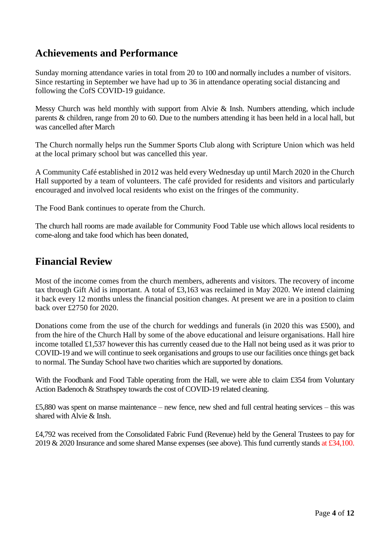### **Achievements and Performance**

Sunday morning attendance varies in total from 20 to 100 and normally includes a number of visitors. Since restarting in September we have had up to 36 in attendance operating social distancing and following the CofS COVID-19 guidance.

Messy Church was held monthly with support from Alvie & Insh. Numbers attending, which include parents & children, range from 20 to 60. Due to the numbers attending it has been held in a local hall, but was cancelled after March

The Church normally helps run the Summer Sports Club along with Scripture Union which was held at the local primary school but was cancelled this year.

A Community Café established in 2012 was held every Wednesday up until March 2020 in the Church Hall supported by a team of volunteers. The café provided for residents and visitors and particularly encouraged and involved local residents who exist on the fringes of the community.

The Food Bank continues to operate from the Church.

The church hall rooms are made available for Community Food Table use which allows local residents to come-along and take food which has been donated,

### **Financial Review**

Most of the income comes from the church members, adherents and visitors. The recovery of income tax through Gift Aid is important. A total of £3,163 was reclaimed in May 2020. We intend claiming it back every 12 months unless the financial position changes. At present we are in a position to claim back over £2750 for 2020.

Donations come from the use of the church for weddings and funerals (in 2020 this was £500), and from the hire of the Church Hall by some of the above educational and leisure organisations. Hall hire income totalled £1,537 however this has currently ceased due to the Hall not being used as it was prior to COVID-19 and we will continue to seek organisations and groups to use our facilities once things get back to normal. The Sunday School have two charities which are supported by donations.

With the Foodbank and Food Table operating from the Hall, we were able to claim £354 from Voluntary Action Badenoch & Strathspey towards the cost of COVID-19 related cleaning.

£5,880 was spent on manse maintenance – new fence, new shed and full central heating services – this was shared with Alvie & Insh.

£4,792 was received from the Consolidated Fabric Fund (Revenue) held by the General Trustees to pay for 2019 & 2020 Insurance and some shared Manse expenses (see above). This fund currently stands at £34,100.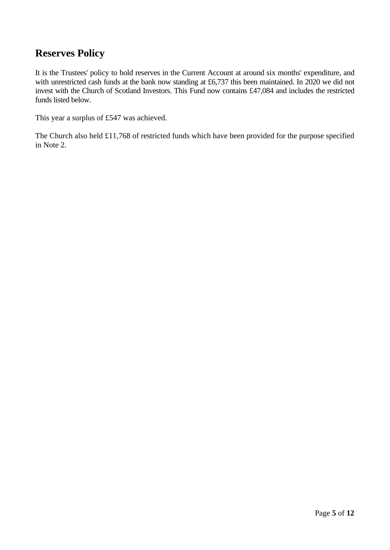### **Reserves Policy**

It is the Trustees' policy to hold reserves in the Current Account at around six months' expenditure, and with unrestricted cash funds at the bank now standing at £6,737 this been maintained. In 2020 we did not invest with the Church of Scotland Investors. This Fund now contains £47,084 and includes the restricted funds listed below.

This year a surplus of £547 was achieved.

The Church also held £11,768 of restricted funds which have been provided for the purpose specified in Note 2.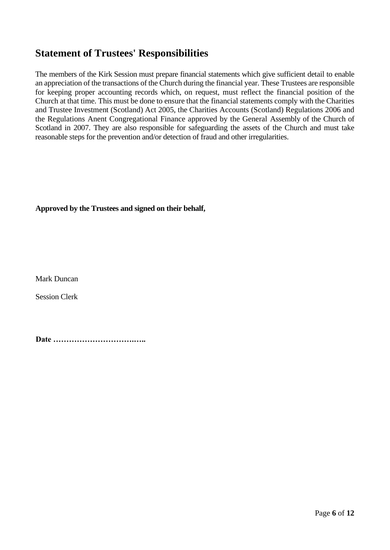### **Statement of Trustees' Responsibilities**

The members of the Kirk Session must prepare financial statements which give sufficient detail to enable an appreciation of the transactions of the Church during the financial year. These Trustees are responsible for keeping proper accounting records which, on request, must reflect the financial position of the Church at that time. This must be done to ensure that the financial statements comply with the Charities and Trustee Investment (Scotland) Act 2005, the Charities Accounts (Scotland) Regulations 2006 and the Regulations Anent Congregational Finance approved by the General Assembly of the Church of Scotland in 2007. They are also responsible for safeguarding the assets of the Church and must take reasonable steps for the prevention and/or detection of fraud and other irregularities.

### **Approved by the Trustees and signed on their behalf,**

Mark Duncan

Session Clerk

**Date ………………………….…..**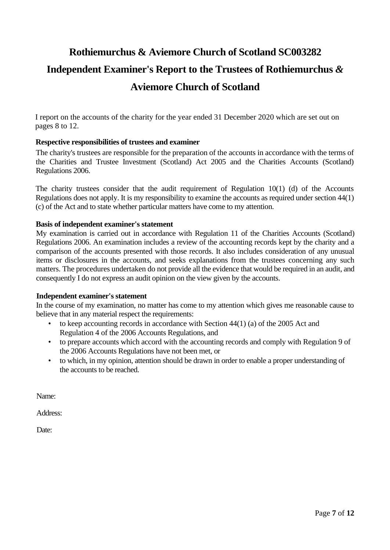# **Rothiemurchus & Aviemore Church of Scotland SC003282 Independent Examiner's Report to the Trustees of Rothiemurchus** *&*  **Aviemore Church of Scotland**

I report on the accounts of the charity for the year ended 31 December 2020 which are set out on pages 8 to 12.

#### **Respective responsibilities of trustees and examiner**

The charity's trustees are responsible for the preparation of the accounts in accordance with the terms of the Charities and Trustee Investment (Scotland) Act 2005 and the Charities Accounts (Scotland) Regulations 2006.

The charity trustees consider that the audit requirement of Regulation 10(1) (d) of the Accounts Regulations does not apply. It is my responsibility to examine the accounts as required under section 44(1) (c) of the Act and to state whether particular matters have come to my attention.

#### **Basis of independent examiner's statement**

My examination is carried out in accordance with Regulation 11 of the Charities Accounts (Scotland) Regulations 2006. An examination includes a review of the accounting records kept by the charity and a comparison of the accounts presented with those records. It also includes consideration of any unusual items or disclosures in the accounts, and seeks explanations from the trustees concerning any such matters. The procedures undertaken do not provide all the evidence that would be required in an audit, and consequently I do not express an audit opinion on the view given by the accounts.

#### **Independent examiner's statement**

In the course of my examination, no matter has come to my attention which gives me reasonable cause to believe that in any material respect the requirements:

- to keep accounting records in accordance with Section 44(1) (a) of the 2005 Act and Regulation 4 of the 2006 Accounts Regulations, and
- to prepare accounts which accord with the accounting records and comply with Regulation 9 of the 2006 Accounts Regulations have not been met, or
- to which, in my opinion, attention should be drawn in order to enable a proper understanding of the accounts to be reached.

Name:

Address:

Date: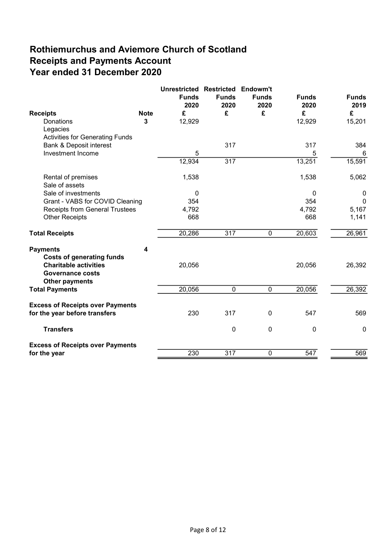## Rothiemurchus and Aviemore Church of Scotland Receipts and Payments Account Year ended 31 December 2020

| <b>Receipts</b>                                                                  | <b>Note</b> | <b>Unrestricted Restricted</b><br><b>Funds</b><br>2020<br>£ | <b>Funds</b><br>2020<br>£ | Endowm't<br><b>Funds</b><br>2020<br>£ | <b>Funds</b><br>2020<br>£ | <b>Funds</b><br>2019<br>£ |
|----------------------------------------------------------------------------------|-------------|-------------------------------------------------------------|---------------------------|---------------------------------------|---------------------------|---------------------------|
| Donations<br>Legacies                                                            | 3           | 12,929                                                      |                           |                                       | 12,929                    | 15,201                    |
| <b>Activities for Generating Funds</b>                                           |             |                                                             |                           |                                       |                           |                           |
| <b>Bank &amp; Deposit interest</b>                                               |             |                                                             | 317                       |                                       | 317                       | 384                       |
| Investment Income                                                                |             | 5                                                           |                           |                                       | 5                         | 6                         |
|                                                                                  |             | 12,934                                                      | $\overline{317}$          |                                       | 13,251                    | 15,591                    |
| Rental of premises<br>Sale of assets                                             |             | 1,538                                                       |                           |                                       | 1,538                     | 5,062                     |
| Sale of investments                                                              |             | 0                                                           |                           |                                       | 0                         | 0                         |
| Grant - VABS for COVID Cleaning                                                  |             | 354                                                         |                           |                                       | 354                       | $\Omega$                  |
| <b>Receipts from General Trustees</b>                                            |             | 4,792                                                       |                           |                                       | 4,792                     | 5,167                     |
| <b>Other Receipts</b>                                                            |             | 668                                                         |                           |                                       | 668                       | 1,141                     |
| <b>Total Receipts</b>                                                            |             | 20,286                                                      | 317                       | 0                                     | 20,603                    | 26,961                    |
| <b>Payments</b><br><b>Costs of generating funds</b>                              | 4           |                                                             |                           |                                       |                           |                           |
| <b>Charitable activities</b><br><b>Governance costs</b><br><b>Other payments</b> |             | 20,056                                                      |                           |                                       | 20,056                    | 26,392                    |
| <b>Total Payments</b>                                                            |             | 20,056                                                      | $\mathbf 0$               | $\mathbf 0$                           | 20,056                    | 26,392                    |
| <b>Excess of Receipts over Payments</b><br>for the year before transfers         |             | 230                                                         | 317                       | 0                                     | 547                       | 569                       |
| <b>Transfers</b>                                                                 |             |                                                             | $\mathbf 0$               | $\mathbf 0$                           | $\mathbf 0$               | $\mathbf 0$               |
| <b>Excess of Receipts over Payments</b>                                          |             | 230                                                         | 317                       | $\overline{0}$                        | 547                       |                           |
| for the year                                                                     |             |                                                             |                           |                                       |                           | 569                       |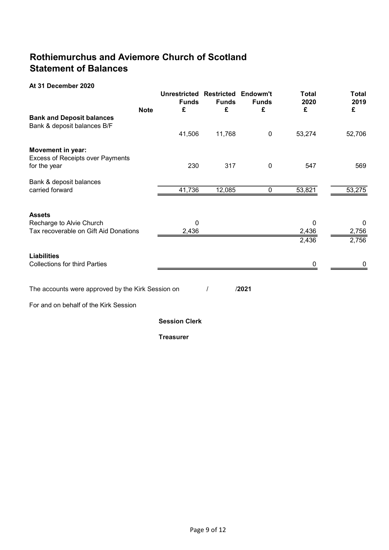## Rothiemurchus and Aviemore Church of Scotland Statement of Balances

### At 31 December 2020

| <b>Note</b>                                       | <b>Unrestricted Restricted</b><br><b>Funds</b><br>£ | <b>Funds</b><br>£ | Endowm't<br><b>Funds</b><br>£ | <b>Total</b><br>2020<br>£ | <b>Total</b><br>2019<br>£ |
|---------------------------------------------------|-----------------------------------------------------|-------------------|-------------------------------|---------------------------|---------------------------|
| <b>Bank and Deposit balances</b>                  |                                                     |                   |                               |                           |                           |
| Bank & deposit balances B/F                       |                                                     |                   |                               |                           |                           |
|                                                   | 41,506                                              | 11,768            | $\pmb{0}$                     | 53,274                    | 52,706                    |
| Movement in year:                                 |                                                     |                   |                               |                           |                           |
| Excess of Receipts over Payments                  |                                                     |                   |                               |                           |                           |
| for the year                                      | 230                                                 | 317               | 0                             | 547                       | 569                       |
| Bank & deposit balances                           |                                                     |                   |                               |                           |                           |
| carried forward                                   | 41,736                                              | 12,085            | 0                             | 53,821                    | 53,275                    |
|                                                   |                                                     |                   |                               |                           |                           |
| <b>Assets</b>                                     |                                                     |                   |                               |                           |                           |
| Recharge to Alvie Church                          | $\mathbf{0}$                                        |                   |                               | 0                         | 0                         |
| Tax recoverable on Gift Aid Donations             | 2,436                                               |                   |                               | 2,436                     | 2,756                     |
|                                                   |                                                     |                   |                               | 2,436                     | 2,756                     |
| <b>Liabilities</b>                                |                                                     |                   |                               |                           |                           |
| <b>Collections for third Parties</b>              |                                                     |                   |                               | $\mathbf 0$               | 0                         |
|                                                   |                                                     |                   |                               |                           |                           |
| The accounts were approved by the Kirk Session on |                                                     |                   | /2021                         |                           |                           |
| For and on behalf of the Kirk Session             |                                                     |                   |                               |                           |                           |
|                                                   | <b>Session Clerk</b>                                |                   |                               |                           |                           |
|                                                   | <b>Treasurer</b>                                    |                   |                               |                           |                           |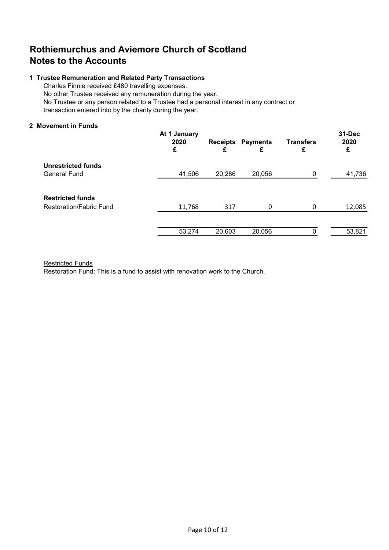### Rothiemurchus and Aviemore Church of Scotland Notes to the Accounts

#### 1 Trustee Remuneration and Related Party Transactions

Charles Finnie received £480 travelling expenses. No other Trustee received any remuneration during the year. No Trustee or any person related to a Trustee had a personal interest in any contract or transaction entered into by the charity during the year.

#### 2 Movement in Funds

|                                | At 1 January<br>2020<br>£ | £      | <b>Receipts Payments</b><br>£ | <b>Transfers</b><br>£ | 31-Dec<br>2020<br>£ |
|--------------------------------|---------------------------|--------|-------------------------------|-----------------------|---------------------|
| <b>Unrestricted funds</b>      |                           |        |                               |                       |                     |
| <b>General Fund</b>            | 41,506                    | 20,286 | 20,056                        | 0                     | 41,736              |
|                                |                           |        |                               |                       |                     |
| <b>Restricted funds</b>        |                           |        |                               |                       |                     |
| <b>Restoration/Fabric Fund</b> | 11,768                    | 317    | 0                             | 0                     | 12,085              |
|                                |                           |        |                               |                       |                     |
|                                | 53,274                    | 20,603 | 20,056                        |                       | 53,821              |
|                                |                           |        |                               |                       |                     |

#### Restricted Funds

Restoration Fund: This is a fund to assist with renovation work to the Church.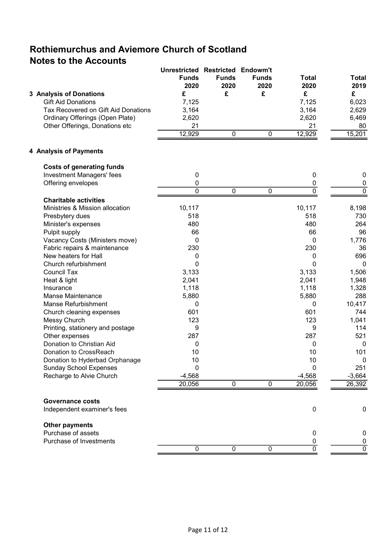# Rothiemurchus and Aviemore Church of Scotland Notes to the Accounts

|                                     | <b>Unrestricted Restricted Endowm't</b> |              |                |                |                           |
|-------------------------------------|-----------------------------------------|--------------|----------------|----------------|---------------------------|
|                                     | <b>Funds</b>                            | <b>Funds</b> | <b>Funds</b>   | <b>Total</b>   | <b>Total</b>              |
|                                     | 2020                                    | 2020         | 2020           | 2020           | 2019                      |
| 3 Analysis of Donations             | £                                       | £            | £              | £              | £                         |
| <b>Gift Aid Donations</b>           | 7,125                                   |              |                | 7,125          | 6,023                     |
| Tax Recovered on Gift Aid Donations | 3,164                                   |              |                | 3,164          | 2,629                     |
| Ordinary Offerings (Open Plate)     | 2,620                                   |              |                | 2,620          | 6,469                     |
| Other Offerings, Donations etc      | 21                                      |              |                | 21             | 80                        |
|                                     | 12,929                                  | 0            | 0              | 12,929         | 15,201                    |
| 4 Analysis of Payments              |                                         |              |                |                |                           |
| <b>Costs of generating funds</b>    |                                         |              |                |                |                           |
| <b>Investment Managers' fees</b>    | 0                                       |              |                | 0              | 0                         |
| Offering envelopes                  | 0                                       |              |                | 0              | 0                         |
|                                     | $\overline{0}$                          | $\mathbf 0$  | $\pmb{0}$      | $\overline{0}$ | $\overline{\mathfrak{o}}$ |
| <b>Charitable activities</b>        |                                         |              |                |                |                           |
| Ministries & Mission allocation     | 10,117                                  |              |                | 10,117         | 8,198                     |
| Presbytery dues                     | 518                                     |              |                | 518            | 730                       |
| Minister's expenses                 | 480                                     |              |                | 480            | 264                       |
| Pulpit supply                       | 66                                      |              |                | 66             | 96                        |
| Vacancy Costs (Ministers move)      | 0                                       |              |                | 0              | 1,776                     |
| Fabric repairs & maintenance        | 230                                     |              |                | 230            | 36                        |
| New heaters for Hall                | 0                                       |              |                | 0              | 696                       |
| Church refurbishment                | 0                                       |              |                | 0              | 0                         |
| <b>Council Tax</b>                  | 3,133                                   |              |                | 3,133          | 1,506                     |
| Heat & light                        | 2,041                                   |              |                | 2,041          | 1,948                     |
| Insurance                           | 1,118                                   |              |                | 1,118          | 1,328                     |
| <b>Manse Maintenance</b>            | 5,880                                   |              |                | 5,880          | 288                       |
| Manse Refurbishment                 | 0                                       |              |                | 0              | 10,417                    |
| Church cleaning expenses            | 601                                     |              |                | 601            | 744                       |
| Messy Church                        | 123                                     |              |                | 123            | 1,041                     |
| Printing, stationery and postage    | 9                                       |              |                | 9              | 114                       |
| Other expenses                      | 287                                     |              |                | 287            | 521                       |
| Donation to Christian Aid           | 0                                       |              |                | 0              | 0                         |
| Donation to CrossReach              | 10                                      |              |                | 10             | 101                       |
| Donation to Hyderbad Orphanage      | 10                                      |              |                | 10             | $\mathbf{0}$              |
| <b>Sunday School Expenses</b>       | 0                                       |              |                | 0              | 251                       |
| Recharge to Alvie Church            | $-4,568$<br>20,056                      | $\mathbf 0$  | $\overline{0}$ | $-4,568$       | $-3,664$<br>26,392        |
|                                     |                                         |              |                | 20,056         |                           |
| <b>Governance costs</b>             |                                         |              |                |                |                           |
| Independent examiner's fees         |                                         |              |                | $\mathbf 0$    | $\mathbf 0$               |
| <b>Other payments</b>               |                                         |              |                |                |                           |
| Purchase of assets                  |                                         |              |                | 0              | 0                         |
| Purchase of Investments             |                                         |              |                | 0              | 0<br>$\overline{0}$       |
|                                     | $\pmb{0}$                               | $\pmb{0}$    | 0              | $\overline{0}$ |                           |